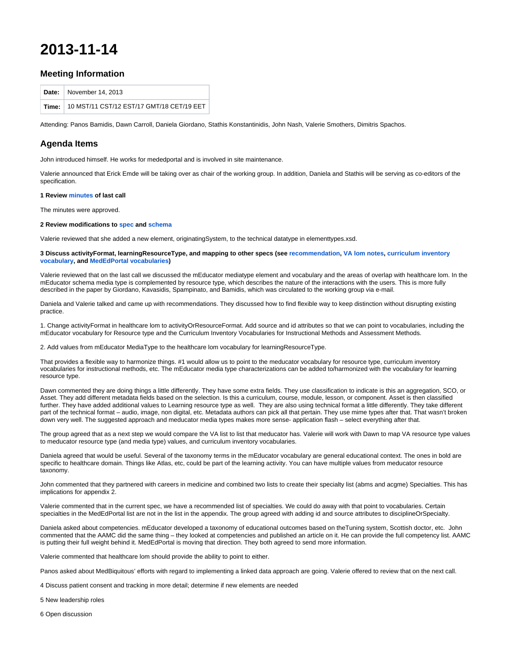# **2013-11-14**

## **Meeting Information**

| Date: November 14, 2013                         |
|-------------------------------------------------|
| Time: 10 MST/11 CST/12 EST/17 GMT/18 CET/19 EET |

Attending: Panos Bamidis, Dawn Carroll, Daniela Giordano, Stathis Konstantinidis, John Nash, Valerie Smothers, Dimitris Spachos.

# **Agenda Items**

John introduced himself. He works for mededportal and is involved in site maintenance.

Valerie announced that Erick Emde will be taking over as chair of the working group. In addition, Daniela and Stathis will be serving as co-editors of the specification.

#### **1 Review [minutes](http://groups.medbiq.org/medbiq/display/HLOM/2013-09-18) of last call**

The minutes were approved.

#### **2 Review modifications to [spec](http://groups.medbiq.org/medbiq/download/attachments/59639836/HealthcareLOMSpecifications_1_32.docx?version=1&modificationDate=1594759227000&api=v2) and [schema](http://ns.medbiq.org/lomv2/healthcare/healthcaremetadata.xsd)**

Valerie reviewed that she added a new element, originatingSystem, to the technical datatype in elementtypes.xsd.

#### **3 Discuss activityFormat, learningResourceType, and mapping to other specs (see [recommendation](http://groups.medbiq.org/medbiq/display/HLOM/Recommendations+for+harmonizing+learning+resource+type+with+mEducator+vocabularies), [VA lom notes](http://groups.medbiq.org/medbiq/display/HLOM/consent%2C+learning+resource+type%2C+and+instructional+methods+from+VA), [curriculum inventory](http://medbiq.org/curriculum/vocabularies.pdf)  [vocabulary,](http://medbiq.org/curriculum/vocabularies.pdf) and [MedEdPortal vocabularies](http://groups.medbiq.org/medbiq/display/HLOM/Comments+on+MedEdPORTAL+Taxonomy))**

Valerie reviewed that on the last call we discussed the mEducator mediatype element and vocabulary and the areas of overlap with healthcare lom. In the mEducator schema media type is complemented by resource type, which describes the nature of the interactions with the users. This is more fully described in the paper by Giordano, Kavasidis, Spampinato, and Bamidis, which was circulated to the working group via e-mail.

Daniela and Valerie talked and came up with recommendations. They discussed how to find flexible way to keep distinction without disrupting existing practice.

1. Change activityFormat in healthcare lom to activityOrResourceFormat. Add source and id attributes so that we can point to vocabularies, including the mEducator vocabulary for Resource type and the Curriculum Inventory Vocabularies for Instructional Methods and Assessment Methods.

2. Add values from mEducator MediaType to the healthcare lom vocabulary for learningResourceType.

That provides a flexible way to harmonize things. #1 would allow us to point to the meducator vocabulary for resource type, curriculum inventory vocabularies for instructional methods, etc. The mEducator media type characterizations can be added to/harmonized with the vocabulary for learning resource type.

Dawn commented they are doing things a little differently. They have some extra fields. They use classification to indicate is this an aggregation, SCO, or Asset. They add different metadata fields based on the selection. Is this a curriculum, course, module, lesson, or component. Asset is then classified further. They have added additional values to Learning resource type as well. They are also using technical format a little differently. They take different part of the technical format – audio, image, non digital, etc. Metadata authors can pick all that pertain. They use mime types after that. That wasn't broken down very well. The suggested approach and meducator media types makes more sense- application flash – select everything after that.

The group agreed that as a next step we would compare the VA list to list that meducator has. Valerie will work with Dawn to map VA resource type values to meducator resource type (and media type) values, and curriculum inventory vocabularies.

Daniela agreed that would be useful. Several of the taxonomy terms in the mEducator vocabulary are general educational context. The ones in bold are specific to healthcare domain. Things like Atlas, etc, could be part of the learning activity. You can have multiple values from meducator resource taxonomy.

John commented that they partnered with careers in medicine and combined two lists to create their specialty list (abms and acgme) Specialties. This has implications for appendix 2.

Valerie commented that in the current spec, we have a recommended list of specialties. We could do away with that point to vocabularies. Certain specialties in the MedEdPortal list are not in the list in the appendix. The group agreed with adding id and source attributes to disciplineOrSpecialty.

Daniela asked about competencies. mEducator developed a taxonomy of educational outcomes based on theTuning system, Scottish doctor, etc. John commented that the AAMC did the same thing – they looked at competencies and published an article on it. He can provide the full competency list. AAMC is putting their full weight behind it. MedEdPortal is moving that direction. They both agreed to send more information.

Valerie commented that healthcare lom should provide the ability to point to either.

Panos asked about MedBiquitous' efforts with regard to implementing a linked data approach are going. Valerie offered to review that on the next call.

4 Discuss patient consent and tracking in more detail; determine if new elements are needed

5 New leadership roles

6 Open discussion